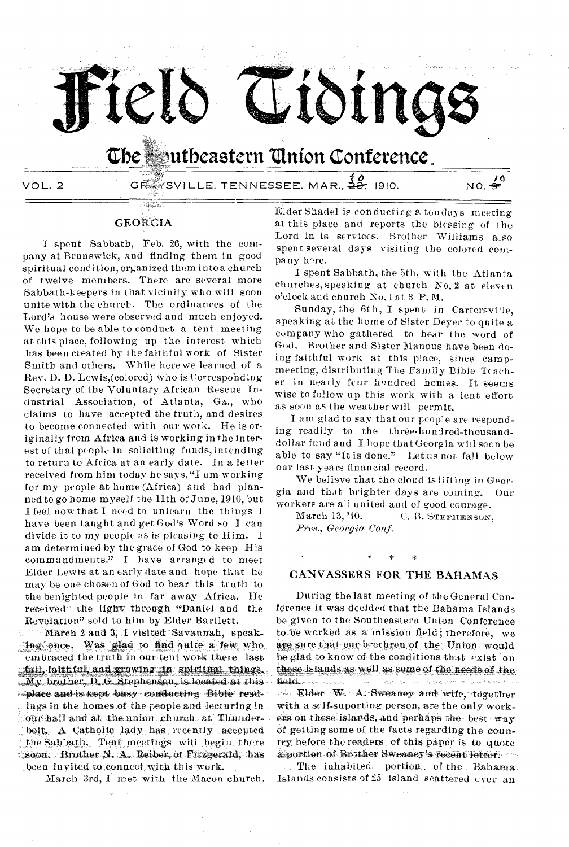The **Southeastern Union Conference** 

Ciding

VOL. 2 GRIIIME, TENNESSEE, MAR.,  $\frac{3}{2}$  1910. NO.

# **GEORCIA**

ield

I spent Sabbath, Feb. 26, with the company at Brunswick, and finding them in good spiritual condition, organized them into a church of twelve members. There are several more Sabbath-keepers in that vicinity who will soon unite with the church. The ordinances of the Lord's house were observed and much enjoyed. We hope to be able to conduct a tent meeting at this place, following up the interest which has been created by the faithful work of Sister Smith and others. While here we learned of a Rev. D. D. Lewis,(colored) who is Corresponding Secretary of the Voluntary African Rescue Industrial Association, of Atlanta, Ga., who claims to have accepted the truth, and desires to become connected with our work. He is originally from Africa and is working in the interest of that people in soliciting funds, in tending to return to Africa at an early date. In a letter received from him today he says,"I am working for my people at home (Africa) and had planned to go home myself the 11th of June, 1910, but I feel now that I need to unlearn the things I have been taught and get God's Word so I can divide it to my people as is pleasing to Him. I am determined by the grace of God to keep His commandments." I have arrange d to meet Elder Lewis at an early date and hope that he may be one chosen of God to bear this truth to the benighted people in far away Africa. He received the light through "Daniel and the Revelation" sold to him by Elder Bartlett.

March 2 and 3, I visited Savannah, spealt.  $5$ tng $\epsilon$ once. Was glad to find quite a few who .em braced the truth in our tent work there last  $\text{fat}, \text{faith}$  and growing in spiritual things.  $\mathbf{W}_{\mathbf{y}}$  brother, D. G. Stephenson, is located at this wakace and is kept busy conducting Bible read-... ings in the homes of the people and lecturing in our hall and at the union church, at Thunder- $\phi$  bolt. A Catholic lady has recently accepted the Sabbath. Tent meetings will begin there 5200n. Brother N. A. Reiber, or Fitzgeraid, has been invited to connect with this work.

March 3rd, I met with the Macon church.

Elder Shadel is conducting a ten days meeting at this place and reports the blessing of the Lord in is services. Brother Williams also spent several days visiting the colored company here.

I spent Sabbath, the 5th, with the Atlanta churches, speaking at church No. 2 at eleven o'clock and church No.1 at 3 P.M.

Sunday, the 6th, I spent in Cartersville, speaking at the home of Sister Deyer to quite a company who gathered to hear the word of God. Brother and Sister Manous have been doing faithful work at this place, since cam pmeeting, distributing The Family Bible Teacher in nearly four hyndred homes. It seems wise to follow up this work with a tent effort as soon as the weather will permit.

I am glad to say that our people are responding readily to the three-hundred-thousanddollar fund and I hope that Georgia will soon be able to say "It is done." Let us not fall below our last years financial record.

We believe that the cloud is lifting in Georgia and that brighter days are coming. Our Workers are all united and of good courage.

March 13, '10. C. B. STEPHENSON. *.Pres., Georgia Conf.* 

# CANVASSERS FOR THE BAHAMAS

\* \* \*

During the last meeting of the General Conference' it'was decided that the Bahama Islands be given to the Southeastern Union Conference to be worked as a' mission 'field; therefore, we CANVASSERS FOR THE B.<br>
During the last meeting of the<br>
ference it was decided that the Ba<br>
be given to the Southeastera Unit<br>
to be worked as a mission field;<br>
are sure that our brethren of the<br>
be glad to know of the cond are sure that our brethren of the Union would. be glad to know of the conditions that exist on  $\frac{4 \text{hess of the}}{4 \text{hides of the}}$ A. Sweaney- and 'wile, tdgalier with a self-suporting person, are the only workers on these islands, and perhaps the- best - way bf.getting some of the facts regarding the country before the readers, of this paper is to quote

a portion of Br:ther Sweaney's recent letter. The inhabited .portion, of the Bahama Islands consists of 25 island scattered over an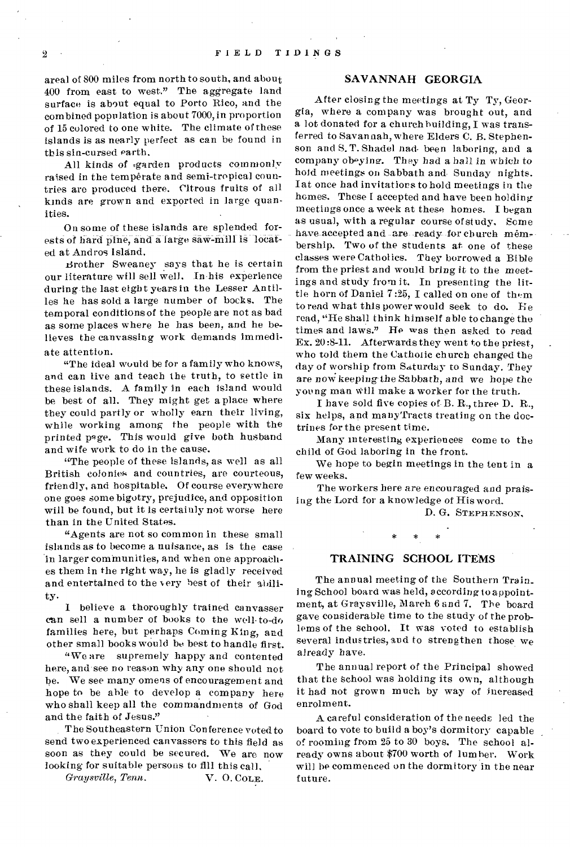areal of 800 miles from north to south, and about 400 from east to west." The aggregate land surface is about equal to Porto Rico, and the combined population is about 7000, in proportion of 15 colored to one white. The climate of these islands is as nearly perfect as can be found in this sin-cursed earth.

All kinds of .garden products commonly raised in the temperate and semi-tropical countries are produced there. Citrons fruits of all kinds are grown and exported in large quanities.

On some of these islands are splended forests of hard pine, and a large saw-mill is located at Andros Island.

Brother Sweaney says that he is certain our literature will sell well. 1n-his experience during the last eight years in the Lesser Antilles he has sold a large number of bocks. The temporal conditions of the people are not as bad as some places where he has been, and he believes the canvassing work demands immediate attention.

"The ideal would be for a family who knows, and can live and teach the truth, to settle in these islands. A family in each island would be best of all. They might get a place where they could partly or wholly earn their living, while working among the people with the printed page. This would give both husband and wife work to do in the cause.

"The people of these islands, as well as all British colonies and countries, are courteous, friendly, and hospitable. Of course everywhere one goes some bigotry, prejudice, and opposition will be found, but it is certainly not worse here than in the United States.

"Agents are not so common in these small islands as to become a nuisance, as is the case in larger communities, and when one approaches them in the right way, he is gladly received and entertained to the very best of their ability.

I believe a thoroughly trained canvasser can sell a number of books to the well-to-do families here, but perhaps Coming King, and other small books would be best to handle first.

"We are supremely happy and contented here, and see no reason why any one should not be. We see many omens of encouragement and hope to be able to develop a company here who shall keep all the commandments of God and the faith of Jesus."

The Southeastern Union Conference voted to send two experienced canvassers to this field as soon as they could be secured. We are now looking for suitable persons to fill this call.

*Graysville, Tenn.* V. O. COLE.

### SAVANNAH GEORGIA

After closing the meetings at Ty Ty, Georgia, where a company was brought out, and a lot donated for a church building, I was transferred to Savannah, where Elders C. B. Stephenson and S. T. Shadel nad been laboring, and a company obeying. They had a hall in which to hold meetings on Sabbath and- Sunday nights. I at once had invitations to hold meetings in the homes. These I accepted and have been holding meetings once a week at these homes. I began as usual, with a regular course of study. Some have accepted and -are--ready-for church membership. Two of the students at one of these classes were Catholics. They borrowed a Bible from the priest and would bring it to the meetings and study from it. In presenting the little horn of Daniel 7:25, I called on one of them to read what this power would seek to do. He read, "He shall think himself able to change the times and laws." He was then asked to read Ex. 20:8-11. Afterwards they went to the priest, who told them the Catholic church changed the day of worship from Saturday to Sunday. They are now keeping-the Sabbath, and we hope the young man Will make a worker for the truth.

I have sold five copies of- B. R., three D. R., six helps, and manyTracts treating on the doctrines for the present time.

Many interesting experiences come to the child of God laboring in the front.

We hope to begin meetings in the tent in a few weeks,

The workers here are encouraged and praising the Lord for a knowledge of His word.

D. G. STEPHENSON,

TRAINING SCHOOL ITEMS

The annual meeting of the Southern Train\_ ing School board was held, according to appointment, at Graysville, March 6 and 7. The board gave considerable time to the study of the problems of the school. It was voted to establish several industries, and to strengthen those we already have.

The annual report of the Principal showed that the school was holding its own, although it had not grown much by way of increased enrolment.

A careful consideration of the needs led the board to vote to build a boy's dormitory capable of rooming from 25 to 30 boys. The school already owns about \$700 worth of lumber. Work will be commenced on the dormitory in the near future.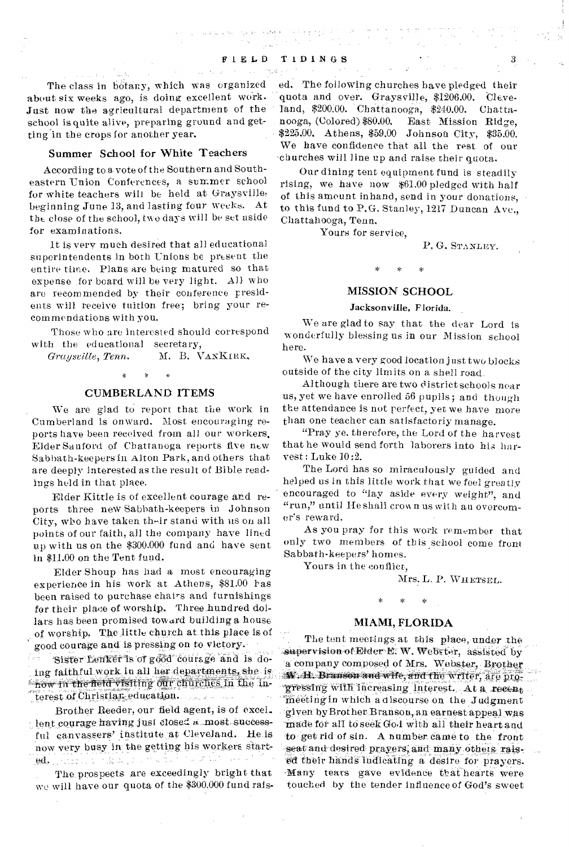فاقعهم والجوامرة الملائيا سالون  $\mathcal{F}=\mathcal{F}_{\mathbf{p},\mathcal{F}}$  .

The class in botany, which was organized about six weeks ago, is doing excellent work. Just now the agricultural department of the school is quite alive, preparing ground and getting in the crops for another year.

n<br>Gwelet ive

**Contractor** 

#### Summer School for White Teachers

According to a vote of the Southern and Southeastern Union Conferences, a summer school for white teachers wilt be held at Graysville, beginning June 13, and lasting four weeks. At the close of the school, two days will be set aside for examinations.

It is very much desired that all educational superintendents in both Unions be present the entire thee. Plans are being matured so that expense ,for board will be very light. All who are recommended by their conference presidents will receive tuition free; bring your recommendations with you.

Those who are interested should correspond with the educational secretary.

*Graysville, Tenn.* M. B. VANKIRK,

#### \*

### CUMBERLAND ITEMS

We are glad to report that the work in Cumberland is onward. Most encouraging reports have been received from all our workers, Elder Sanford of Chattanoga reports five new Sabbath-keepers in Alton Park, and others that are deeply interested as the result of Bible readings held in that place.

Elder Kittle is of excellent courage and reports three new Sabbath-keepers in Johnson City, who have taken their stand with us on all points of our faith, all the company have lined up with us on the \$300.000 fund and have sent in \$11.00 on the Tent fund.

Elder Shoup has had a most encouraging experience in his work at Athens, \$81.00 bas been raised to purchase chairs and furnishings for their place of worship.. Three hundred dollars has been promised toward building a house of worship. The little church at this place is of good courage and is pressing on to victory.

Sister Lenker is of good courage and is doing faithful work in all her departments, she is  $\epsilon$  now in the field visiting our churches in the interest of Christian education.

Brother Reeder, our field agent, is of excel.. lent courage having just closed a most-successful canvassers' institute at Cleveland. He is now very busy in the getting his workers start $ed_{\gamma}$  , we have the set of  $\omega$  and  $\tau$  and  $\gamma$ 

The prospects are exceedingly bright that we will have our quota of the \$300.000 fund rais-

ed. The following churches have pledged their quota and over. Graysville, \$1206.00. Cleveland, \$200.00. Chattanooga, \$240.00. Chattanooga, (Colored) \$80.00. East Mission Ridge, \$225.00. Athens, \$59.00 Johnson City, \$35.00. We have confidence that all the rest of our churches will line up and raise their quota.

Our dining tent equipment fund is steadily rising, we have now \$61.00 pledged with half of this amount inhand, send in your donations, to this fund to P,G. Stanley, 1217 Duncan Ave., Chattahooga, Tenn.

Yours for service,

P. G. STANLEY.

MISSION SCHOOL

#### Jacksonville, Florida.

We are glad to say that the dear Lord is wonderfully blessing us in our Mission school here.

We have a very good location just two blocks outside of the city limits on a shell road.

Although there are two district schools near us, yet we have enrolled 56 pupils; and though the attendance is not perfect, yet we have more than one teacher can satisfactoriy manage.

"Pray ye, therefore, the Lord of the harvest that he would send forth laborers into his harvest : Luke 10 :2.

The Lord has so miraculously guided and helped us in this little work that we feel greatly encouraged to "lay aside every weight", and "run," until He shall crown us with an overcomer's reward.

As you pray for this work remember that only two members of this school come from Sabbath-keepers' homes.

Yours in the conflict,

Mrs. L. P. WHETSEL. \* \* \*

#### MIAMI, FLORIDA

The tent meetings at this place, under the. supervision of Elder E: W. Webster, assisted by a company composed of Mrs. Webster, Brother H. Branson and wife, and the writer, are proressing 'With increasing interest., At a *xeeeat*  meeting in which a discourse on the Judgment given by Brother Branson, an earnest appeal was made for all to seek God with all their heart and to get rid of sin. A number came to the front seat and desired prayers, and many others raised their hands indicating a desire for prayers. Many tears gave evidence that hearts were touched by the tender influence of God's sweet